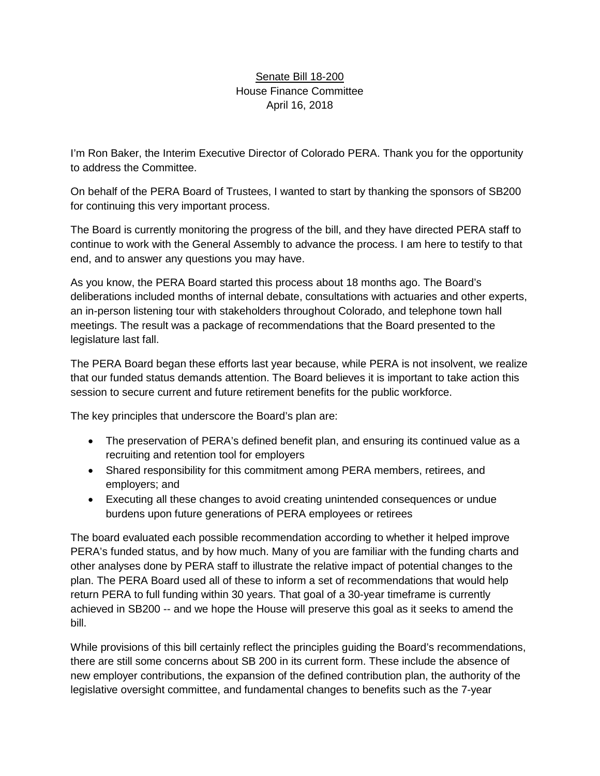## Senate Bill 18-200 House Finance Committee April 16, 2018

I'm Ron Baker, the Interim Executive Director of Colorado PERA. Thank you for the opportunity to address the Committee.

On behalf of the PERA Board of Trustees, I wanted to start by thanking the sponsors of SB200 for continuing this very important process.

The Board is currently monitoring the progress of the bill, and they have directed PERA staff to continue to work with the General Assembly to advance the process. I am here to testify to that end, and to answer any questions you may have.

As you know, the PERA Board started this process about 18 months ago. The Board's deliberations included months of internal debate, consultations with actuaries and other experts, an in-person listening tour with stakeholders throughout Colorado, and telephone town hall meetings. The result was a package of recommendations that the Board presented to the legislature last fall.

The PERA Board began these efforts last year because, while PERA is not insolvent, we realize that our funded status demands attention. The Board believes it is important to take action this session to secure current and future retirement benefits for the public workforce.

The key principles that underscore the Board's plan are:

- The preservation of PERA's defined benefit plan, and ensuring its continued value as a recruiting and retention tool for employers
- Shared responsibility for this commitment among PERA members, retirees, and employers; and
- Executing all these changes to avoid creating unintended consequences or undue burdens upon future generations of PERA employees or retirees

The board evaluated each possible recommendation according to whether it helped improve PERA's funded status, and by how much. Many of you are familiar with the funding charts and other analyses done by PERA staff to illustrate the relative impact of potential changes to the plan. The PERA Board used all of these to inform a set of recommendations that would help return PERA to full funding within 30 years. That goal of a 30-year timeframe is currently achieved in SB200 -- and we hope the House will preserve this goal as it seeks to amend the bill.

While provisions of this bill certainly reflect the principles guiding the Board's recommendations, there are still some concerns about SB 200 in its current form. These include the absence of new employer contributions, the expansion of the defined contribution plan, the authority of the legislative oversight committee, and fundamental changes to benefits such as the 7-year